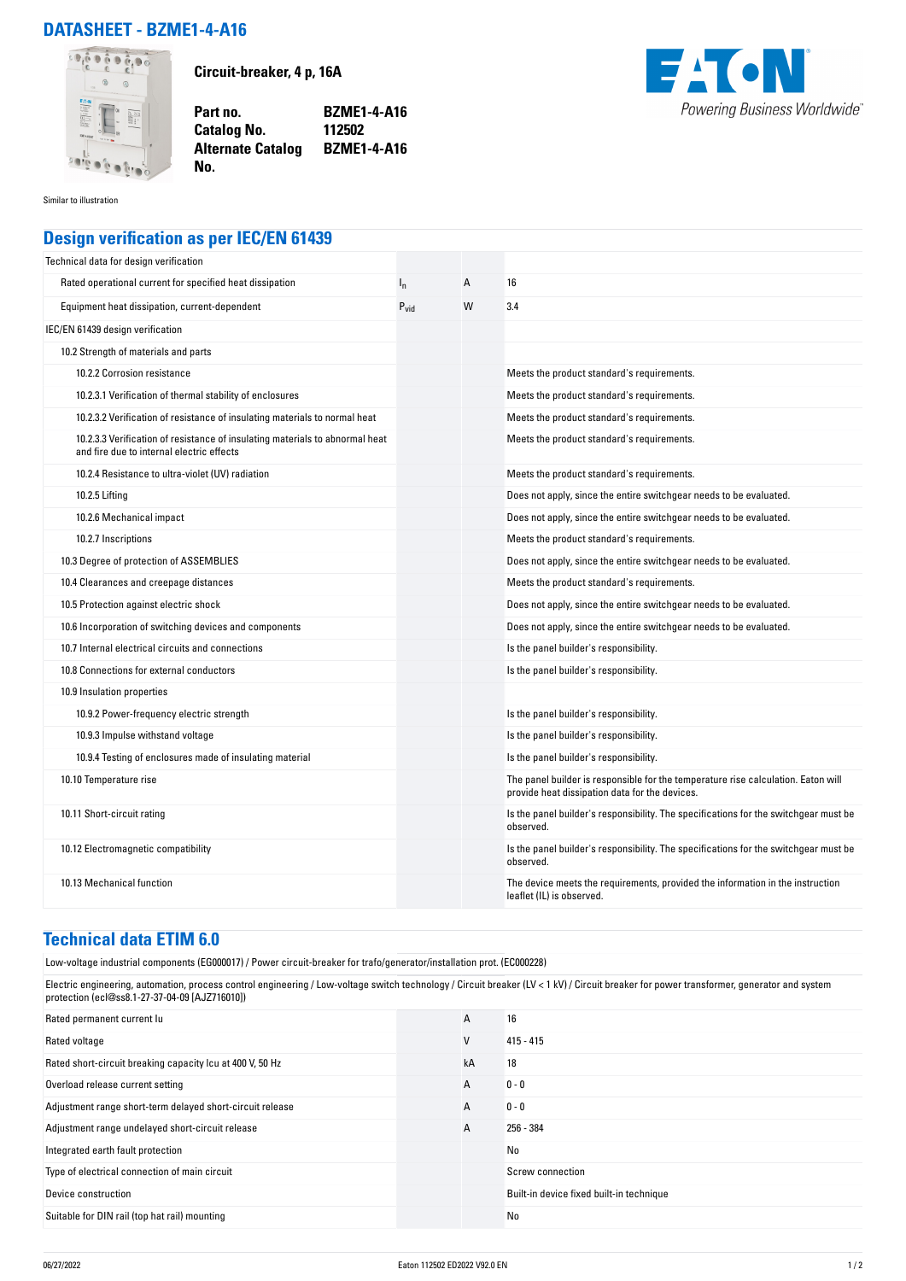## **DATASHEET - BZME1-4-A16**



**Circuit-breaker, 4 p, 16A**

**Part no. BZME1-4-A16 Catalog No. Alternate Catalog BZME1-4-A16**



Similar to illustration

## **Design verification as per IEC/EN 61439**

**No.** 

| Technical data for design verification                                                                                    |           |   |                                                                                                                                     |
|---------------------------------------------------------------------------------------------------------------------------|-----------|---|-------------------------------------------------------------------------------------------------------------------------------------|
| Rated operational current for specified heat dissipation                                                                  | $I_{n}$   | Α | 16                                                                                                                                  |
| Equipment heat dissipation, current-dependent                                                                             | $P_{vid}$ | W | 3.4                                                                                                                                 |
| IEC/EN 61439 design verification                                                                                          |           |   |                                                                                                                                     |
| 10.2 Strength of materials and parts                                                                                      |           |   |                                                                                                                                     |
| 10.2.2 Corrosion resistance                                                                                               |           |   | Meets the product standard's requirements.                                                                                          |
| 10.2.3.1 Verification of thermal stability of enclosures                                                                  |           |   | Meets the product standard's requirements.                                                                                          |
| 10.2.3.2 Verification of resistance of insulating materials to normal heat                                                |           |   | Meets the product standard's requirements.                                                                                          |
| 10.2.3.3 Verification of resistance of insulating materials to abnormal heat<br>and fire due to internal electric effects |           |   | Meets the product standard's requirements.                                                                                          |
| 10.2.4 Resistance to ultra-violet (UV) radiation                                                                          |           |   | Meets the product standard's requirements.                                                                                          |
| 10.2.5 Lifting                                                                                                            |           |   | Does not apply, since the entire switchgear needs to be evaluated.                                                                  |
| 10.2.6 Mechanical impact                                                                                                  |           |   | Does not apply, since the entire switchgear needs to be evaluated.                                                                  |
| 10.2.7 Inscriptions                                                                                                       |           |   | Meets the product standard's requirements.                                                                                          |
| 10.3 Degree of protection of ASSEMBLIES                                                                                   |           |   | Does not apply, since the entire switchgear needs to be evaluated.                                                                  |
| 10.4 Clearances and creepage distances                                                                                    |           |   | Meets the product standard's requirements.                                                                                          |
| 10.5 Protection against electric shock                                                                                    |           |   | Does not apply, since the entire switchgear needs to be evaluated.                                                                  |
| 10.6 Incorporation of switching devices and components                                                                    |           |   | Does not apply, since the entire switchgear needs to be evaluated.                                                                  |
| 10.7 Internal electrical circuits and connections                                                                         |           |   | Is the panel builder's responsibility.                                                                                              |
| 10.8 Connections for external conductors                                                                                  |           |   | Is the panel builder's responsibility.                                                                                              |
| 10.9 Insulation properties                                                                                                |           |   |                                                                                                                                     |
| 10.9.2 Power-frequency electric strength                                                                                  |           |   | Is the panel builder's responsibility.                                                                                              |
| 10.9.3 Impulse withstand voltage                                                                                          |           |   | Is the panel builder's responsibility.                                                                                              |
| 10.9.4 Testing of enclosures made of insulating material                                                                  |           |   | Is the panel builder's responsibility.                                                                                              |
| 10.10 Temperature rise                                                                                                    |           |   | The panel builder is responsible for the temperature rise calculation. Eaton will<br>provide heat dissipation data for the devices. |
| 10.11 Short-circuit rating                                                                                                |           |   | Is the panel builder's responsibility. The specifications for the switchgear must be<br>observed.                                   |
| 10.12 Electromagnetic compatibility                                                                                       |           |   | Is the panel builder's responsibility. The specifications for the switchgear must be<br>observed.                                   |
| 10.13 Mechanical function                                                                                                 |           |   | The device meets the requirements, provided the information in the instruction<br>leaflet (IL) is observed.                         |

## **Technical data ETIM 6.0**

Low-voltage industrial components (EG000017) / Power circuit-breaker for trafo/generator/installation prot. (EC000228)

Electric engineering, automation, process control engineering / Low-voltage switch technology / Circuit breaker (LV < 1 kV) / Circuit breaker for power transformer, generator and system protection (ecl@ss8.1-27-37-04-09 [AJZ716010])

| Rated permanent current lu                                | A  | 16                                       |
|-----------------------------------------------------------|----|------------------------------------------|
| Rated voltage                                             | ٧  | $415 - 415$                              |
| Rated short-circuit breaking capacity Icu at 400 V, 50 Hz | kA | 18                                       |
| Overload release current setting                          | A  | $0 - 0$                                  |
| Adjustment range short-term delayed short-circuit release | A  | $0 - 0$                                  |
| Adjustment range undelayed short-circuit release          | A  | 256 - 384                                |
| Integrated earth fault protection                         |    | No                                       |
| Type of electrical connection of main circuit             |    | Screw connection                         |
| Device construction                                       |    | Built-in device fixed built-in technique |
| Suitable for DIN rail (top hat rail) mounting             |    | No                                       |